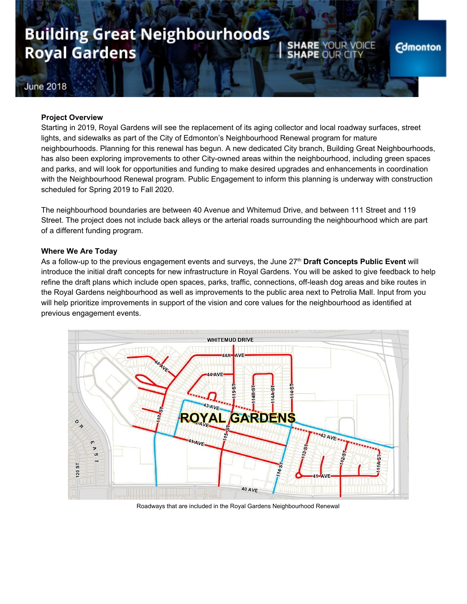## **Building Great Neighbourhoods Royal Gardens**

**SHARE YOUR VOICE** 

**SHAPE** 

### June 2018

### **Project Overview**

Starting in 2019, Royal Gardens will see the replacement of its aging collector and local roadway surfaces, street lights, and sidewalks as part of the City of Edmonton's Neighbourhood Renewal program for mature neighbourhoods. Planning for this renewal has begun. A new dedicated City branch, Building Great Neighbourhoods, has also been exploring improvements to other City-owned areas within the neighbourhood, including green spaces and parks, and will look for opportunities and funding to make desired upgrades and enhancements in coordination with the Neighbourhood Renewal program. Public Engagement to inform this planning is underway with construction scheduled for Spring 2019 to Fall 2020.

The neighbourhood boundaries are between 40 Avenue and Whitemud Drive, and between 111 Street and 119 Street. The project does not include back alleys or the arterial roads surrounding the neighbourhood which are part of a different funding program.

### **Where We Are Today**

As a follow-up to the previous engagement events and surveys, the June 27 th **Draft Concepts Public Event** will introduce the initial draft concepts for new infrastructure in Royal Gardens. You will be asked to give feedback to help refine the draft plans which include open spaces, parks, traffic, connections, off-leash dog areas and bike routes in the Royal Gardens neighbourhood as well as improvements to the public area next to Petrolia Mall. Input from you will help prioritize improvements in support of the vision and core values for the neighbourhood as identified at previous engagement events.



Roadways that are included in the Royal Gardens Neighbourhood Renewal

### **Edmonton**